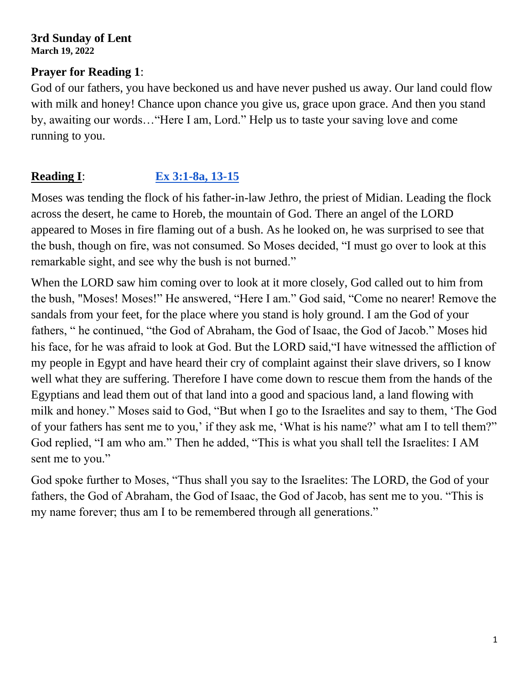#### **3rd Sunday of Lent March 19, 2022**

#### **Prayer for Reading 1**:

God of our fathers, you have beckoned us and have never pushed us away. Our land could flow with milk and honey! Chance upon chance you give us, grace upon grace. And then you stand by, awaiting our words…"Here I am, Lord." Help us to taste your saving love and come running to you.

# **Reading I**: **[Ex 3:1-8a, 13-15](https://bible.usccb.org/bible/exodus/3?1)**

Moses was tending the flock of his father-in-law Jethro, the priest of Midian. Leading the flock across the desert, he came to Horeb, the mountain of God. There an angel of the LORD appeared to Moses in fire flaming out of a bush. As he looked on, he was surprised to see that the bush, though on fire, was not consumed. So Moses decided, "I must go over to look at this remarkable sight, and see why the bush is not burned."

When the LORD saw him coming over to look at it more closely, God called out to him from the bush, "Moses! Moses!" He answered, "Here I am." God said, "Come no nearer! Remove the sandals from your feet, for the place where you stand is holy ground. I am the God of your fathers, " he continued, "the God of Abraham, the God of Isaac, the God of Jacob." Moses hid his face, for he was afraid to look at God. But the LORD said,"I have witnessed the affliction of my people in Egypt and have heard their cry of complaint against their slave drivers, so I know well what they are suffering. Therefore I have come down to rescue them from the hands of the Egyptians and lead them out of that land into a good and spacious land, a land flowing with milk and honey." Moses said to God, "But when I go to the Israelites and say to them, 'The God of your fathers has sent me to you,' if they ask me, 'What is his name?' what am I to tell them?" God replied, "I am who am." Then he added, "This is what you shall tell the Israelites: I AM sent me to you."

God spoke further to Moses, "Thus shall you say to the Israelites: The LORD, the God of your fathers, the God of Abraham, the God of Isaac, the God of Jacob, has sent me to you. "This is my name forever; thus am I to be remembered through all generations."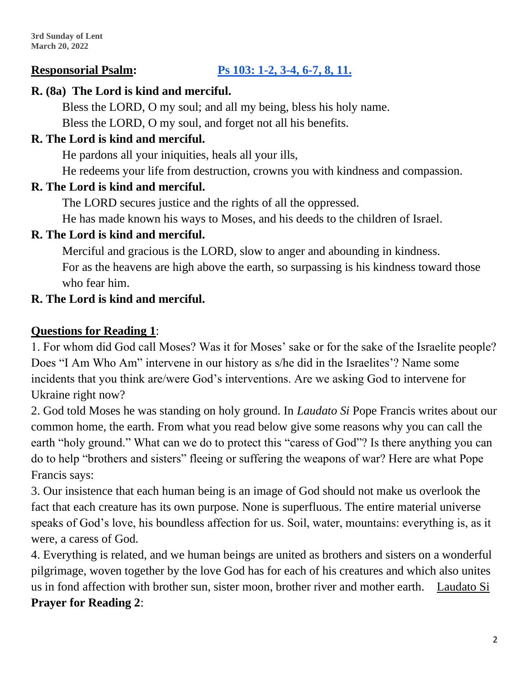### **Responsorial Psalm: [Ps 103: 1-2, 3-4, 6-7, 8, 11.](https://bible.usccb.org/bible/psalms/103?1)**

#### **R. (8a) The Lord is kind and merciful.**

Bless the LORD, O my soul; and all my being, bless his holy name.

Bless the LORD, O my soul, and forget not all his benefits.

### **R. The Lord is kind and merciful.**

He pardons all your iniquities, heals all your ills,

He redeems your life from destruction, crowns you with kindness and compassion.

#### **R. The Lord is kind and merciful.**

The LORD secures justice and the rights of all the oppressed.

He has made known his ways to Moses, and his deeds to the children of Israel.

### **R. The Lord is kind and merciful.**

Merciful and gracious is the LORD, slow to anger and abounding in kindness. For as the heavens are high above the earth, so surpassing is his kindness toward those who fear him.

#### **R. The Lord is kind and merciful.**

#### **Questions for Reading 1**:

1. For whom did God call Moses? Was it for Moses' sake or for the sake of the Israelite people? Does "I Am Who Am" intervene in our history as s/he did in the Israelites'? Name some incidents that you think are/were God's interventions. Are we asking God to intervene for Ukraine right now?

2. God told Moses he was standing on holy ground. In *Laudato Si* Pope Francis writes about our common home, the earth. From what you read below give some reasons why you can call the earth "holy ground." What can we do to protect this "caress of God"? Is there anything you can do to help "brothers and sisters" fleeing or suffering the weapons of war? Here are what Pope Francis says:

3. Our insistence that each human being is an image of God should not make us overlook the fact that each creature has its own purpose. None is superfluous. The entire material universe speaks of God's love, his boundless affection for us. Soil, water, mountains: everything is, as it were, a caress of God.

4. Everything is related, and we human beings are united as brothers and sisters on a wonderful pilgrimage, woven together by the love God has for each of his creatures and which also unites us in fond affection with brother sun, sister moon, brother river and mother earth. [Laudato Si](http://w2.vatican.va/content/francesco/en/encyclicals/documents/papa-francesco_20150524_enciclica-laudato-si.html) **Prayer for Reading 2**: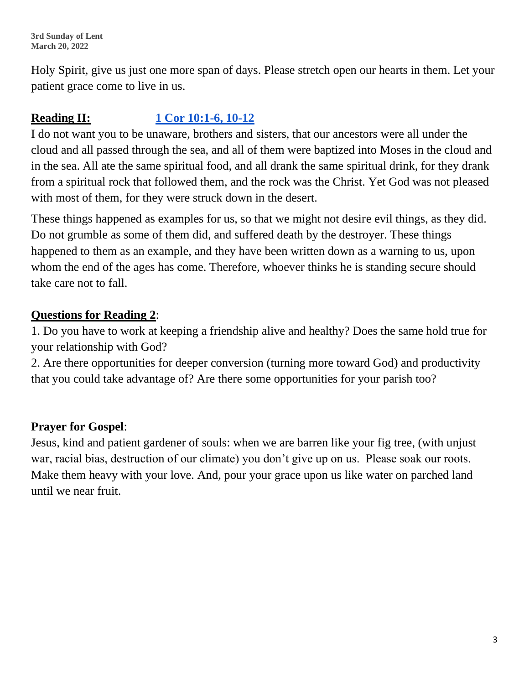**3rd Sunday of Lent March 20, 2022**

Holy Spirit, give us just one more span of days. Please stretch open our hearts in them. Let your patient grace come to live in us.

# **Reading II: [1 Cor 10:1-6, 10-12](https://bible.usccb.org/bible/1corinthians/10?1)**

I do not want you to be unaware, brothers and sisters, that our ancestors were all under the cloud and all passed through the sea, and all of them were baptized into Moses in the cloud and in the sea. All ate the same spiritual food, and all drank the same spiritual drink, for they drank from a spiritual rock that followed them, and the rock was the Christ. Yet God was not pleased with most of them, for they were struck down in the desert.

These things happened as examples for us, so that we might not desire evil things, as they did. Do not grumble as some of them did, and suffered death by the destroyer. These things happened to them as an example, and they have been written down as a warning to us, upon whom the end of the ages has come. Therefore, whoever thinks he is standing secure should take care not to fall.

# **Questions for Reading 2**:

1. Do you have to work at keeping a friendship alive and healthy? Does the same hold true for your relationship with God?

2. Are there opportunities for deeper conversion (turning more toward God) and productivity that you could take advantage of? Are there some opportunities for your parish too?

### **Prayer for Gospel**:

Jesus, kind and patient gardener of souls: when we are barren like your fig tree, (with unjust war, racial bias, destruction of our climate) you don't give up on us. Please soak our roots. Make them heavy with your love. And, pour your grace upon us like water on parched land until we near fruit.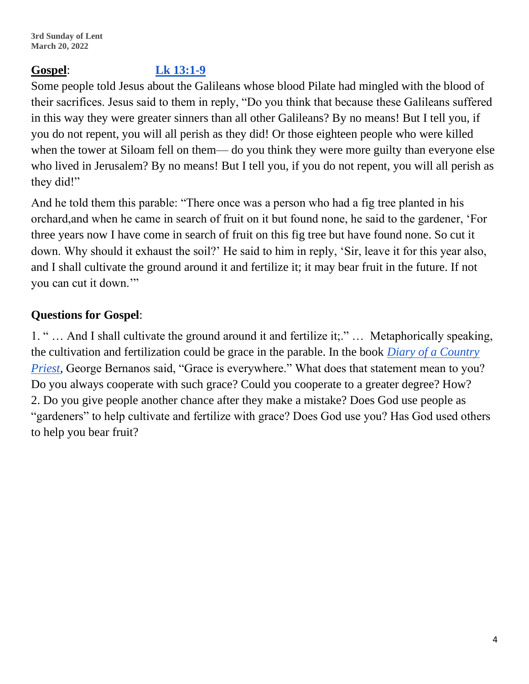#### **Gospel**: **[Lk 13:1-9](https://bible.usccb.org/bible/luke/13?1)**

Some people told Jesus about the Galileans whose blood Pilate had mingled with the blood of their sacrifices. Jesus said to them in reply, "Do you think that because these Galileans suffered in this way they were greater sinners than all other Galileans? By no means! But I tell you, if you do not repent, you will all perish as they did! Or those eighteen people who were killed when the tower at Siloam fell on them— do you think they were more guilty than everyone else who lived in Jerusalem? By no means! But I tell you, if you do not repent, you will all perish as they did!"

And he told them this parable: "There once was a person who had a fig tree planted in his orchard,and when he came in search of fruit on it but found none, he said to the gardener, 'For three years now I have come in search of fruit on this fig tree but have found none. So cut it down. Why should it exhaust the soil?' He said to him in reply, 'Sir, leave it for this year also, and I shall cultivate the ground around it and fertilize it; it may bear fruit in the future. If not you can cut it down."

# **Questions for Gospel**:

1. " … And I shall cultivate the ground around it and fertilize it;." … Metaphorically speaking, the cultivation and fertilization could be grace in the parable. In the book *[Diary of a Country](https://en.wikipedia.org/wiki/The_Diary_of_a_Country_Priest)  [Priest,](https://en.wikipedia.org/wiki/The_Diary_of_a_Country_Priest)* George Bernanos said, "Grace is everywhere." What does that statement mean to you? Do you always cooperate with such grace? Could you cooperate to a greater degree? How? 2. Do you give people another chance after they make a mistake? Does God use people as "gardeners" to help cultivate and fertilize with grace? Does God use you? Has God used others to help you bear fruit?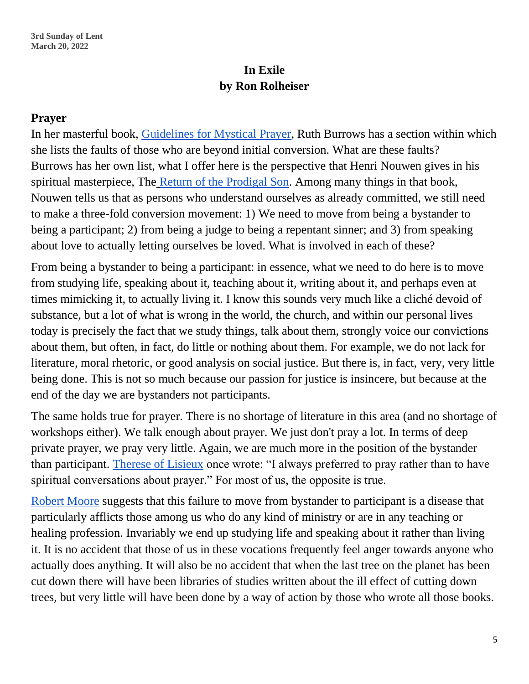# **In Exile by Ron Rolheiser**

#### **Prayer**

In her masterful book, [Guidelines for Mystical Prayer,](https://www.amazon.com/Guidelines-Mystical-Prayer-Ruth-Burrows/dp/0809153580) Ruth Burrows has a section within which she lists the faults of those who are beyond initial conversion. What are these faults? Burrows has her own list, what I offer here is the perspective that Henri Nouwen gives in his spiritual masterpiece, The [Return of the Prodigal Son.](https://henrinouwen.org/read/the-return-of-the-prodigal-son/) Among many things in that book, Nouwen tells us that as persons who understand ourselves as already committed, we still need to make a three-fold conversion movement: 1) We need to move from being a bystander to being a participant; 2) from being a judge to being a repentant sinner; and 3) from speaking about love to actually letting ourselves be loved. What is involved in each of these?

From being a bystander to being a participant: in essence, what we need to do here is to move from studying life, speaking about it, teaching about it, writing about it, and perhaps even at times mimicking it, to actually living it. I know this sounds very much like a cliché devoid of substance, but a lot of what is wrong in the world, the church, and within our personal lives today is precisely the fact that we study things, talk about them, strongly voice our convictions about them, but often, in fact, do little or nothing about them. For example, we do not lack for literature, moral rhetoric, or good analysis on social justice. But there is, in fact, very, very little being done. This is not so much because our passion for justice is insincere, but because at the end of the day we are bystanders not participants.

The same holds true for prayer. There is no shortage of literature in this area (and no shortage of workshops either). We talk enough about prayer. We just don't pray a lot. In terms of deep private prayer, we pray very little. Again, we are much more in the position of the bystander than participant. [Therese of Lisieux](https://en.wikipedia.org/wiki/Th%C3%A9r%C3%A8se_of_Lisieux) once wrote: "I always preferred to pray rather than to have spiritual conversations about prayer." For most of us, the opposite is true.

[Robert Moore](https://en.wikipedia.org/wiki/Robert_L._Moore) suggests that this failure to move from bystander to participant is a disease that particularly afflicts those among us who do any kind of ministry or are in any teaching or healing profession. Invariably we end up studying life and speaking about it rather than living it. It is no accident that those of us in these vocations frequently feel anger towards anyone who actually does anything. It will also be no accident that when the last tree on the planet has been cut down there will have been libraries of studies written about the ill effect of cutting down trees, but very little will have been done by a way of action by those who wrote all those books.